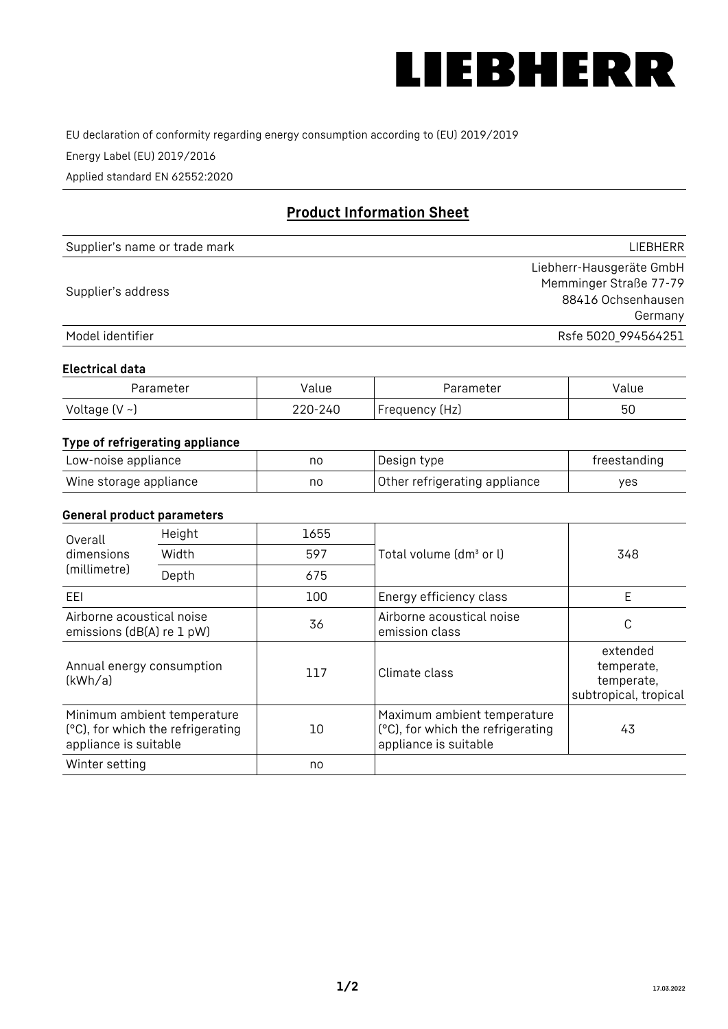

EU declaration of conformity regarding energy consumption according to (EU) 2019/2019

Energy Label (EU) 2019/2016

Applied standard EN 62552:2020

# **Product Information Sheet**

| Supplier's name or trade mark | LIEBHERR                 |
|-------------------------------|--------------------------|
|                               | Liebherr-Hausgeräte GmbH |
| Supplier's address            | Memminger Straße 77-79   |
|                               | 88416 Ochsenhausen       |
|                               | Germany                  |
| Model identifier              | Rsfe 5020_994564251      |

#### **Electrical data**

| Parameter           | Value   | Parameter      | Value |
|---------------------|---------|----------------|-------|
| Voltage (V $\sim$ ) | 220-240 | Frequency (Hz) | 50    |

## **Type of refrigerating appliance**

| Low-noise appliance    | nc | Design type                   | freestanding |
|------------------------|----|-------------------------------|--------------|
| Wine storage appliance | nc | Other refrigerating appliance | ves          |

#### **General product parameters**

| Height<br>Overall                                      |                                                                  | 1655 |                                                                                           |                                                               |
|--------------------------------------------------------|------------------------------------------------------------------|------|-------------------------------------------------------------------------------------------|---------------------------------------------------------------|
| dimensions<br>(millimetre)                             | Width                                                            | 597  | Total volume (dm <sup>3</sup> or l)                                                       | 348                                                           |
|                                                        | Depth                                                            | 675  |                                                                                           |                                                               |
| EEL                                                    |                                                                  | 100  | Energy efficiency class                                                                   | E                                                             |
| Airborne acoustical noise<br>emissions (dB(A) re 1 pW) |                                                                  | 36   | Airborne acoustical noise<br>emission class                                               | С                                                             |
| Annual energy consumption<br>(kWh/a)                   |                                                                  | 117  | Climate class                                                                             | extended<br>temperate,<br>temperate,<br>subtropical, tropical |
| appliance is suitable                                  | Minimum ambient temperature<br>(°C), for which the refrigerating | 10   | Maximum ambient temperature<br>(°C), for which the refrigerating<br>appliance is suitable | 43                                                            |
| Winter setting                                         |                                                                  | no   |                                                                                           |                                                               |